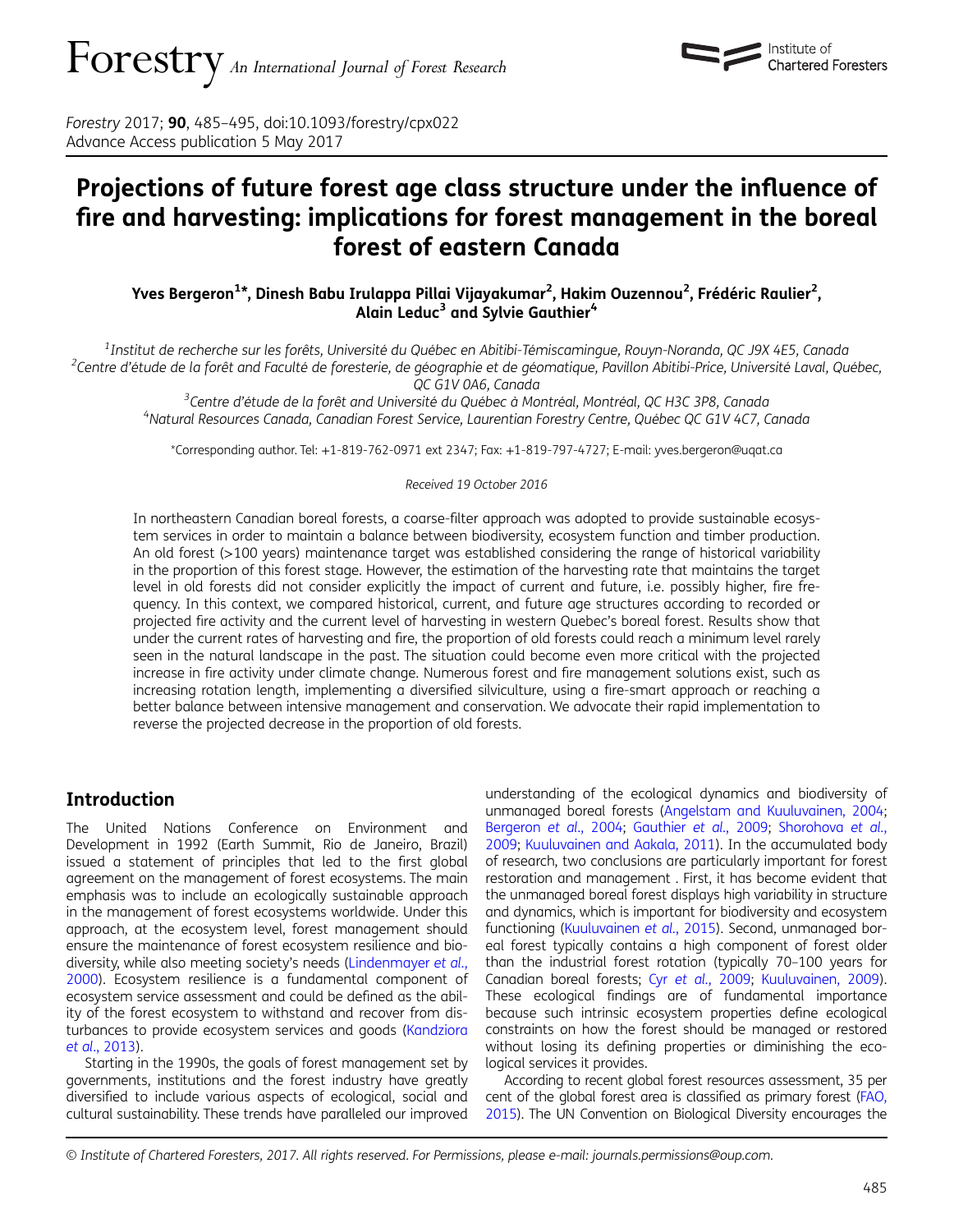Institute of **Chartered Foresters** 

Forestry 2017; 90, 485–495, doi:10.1093/forestry/cpx022 Advance Access publication 5 May 2017

# Projections of future forest age class structure under the influence of fire and harvesting: implications for forest management in the boreal forest of eastern Canada

### Yves Bergeron<sup>1\*</sup>, Dinesh Babu Irulappa Pillai Vijayakumar<sup>2</sup>, Hakim Ouzennou<sup>2</sup>, Frédéric Raulier<sup>2</sup>, Alain Leduc $3$  and Sylvie Gauthier $4$

1 Institut de recherche sur les forêts, Université du Québec en Abitibi-Témiscamingue, Rouyn-Noranda, QC J9X 4E5, Canada <sup>2</sup> <sup>2</sup>Centre d'étude de la forêt and Faculté de foresterie, de géographie et de géomatique, Pavillon Abitibi-Price, Université Laval, Québec,

QC G1V 0A6, Canada<br>Centre d'étude de la forêt and Université du Québec à Ma <sup>3</sup>Centre d'étude de la forêt and Université du Québec à Montréal, Montréal, QC H3C 3P8, Canada<br>4 Notural Pesources Canada, Canadian Forest Service, Laurentian Forestry Centre, Québec QC G1V 4C7, 4 <sup>4</sup>Natural Resources Canada, Canadian Forest Service, Laurentian Forestry Centre, Québec QC G1V 4C7, Canada

\*Corresponding author. Tel: +1-819-762-0971 ext 2347; Fax: +1-819-797-4727; E-mail: yves.bergeron@uqat.ca

#### Received 19 October 2016

In northeastern Canadian boreal forests, a coarse-filter approach was adopted to provide sustainable ecosystem services in order to maintain a balance between biodiversity, ecosystem function and timber production. An old forest (>100 years) maintenance target was established considering the range of historical variability in the proportion of this forest stage. However, the estimation of the harvesting rate that maintains the target level in old forests did not consider explicitly the impact of current and future, i.e. possibly higher, fire frequency. In this context, we compared historical, current, and future age structures according to recorded or projected fire activity and the current level of harvesting in western Quebec's boreal forest. Results show that under the current rates of harvesting and fire, the proportion of old forests could reach a minimum level rarely seen in the natural landscape in the past. The situation could become even more critical with the projected increase in fire activity under climate change. Numerous forest and fire management solutions exist, such as increasing rotation length, implementing a diversified silviculture, using a fire-smart approach or reaching a better balance between intensive management and conservation. We advocate their rapid implementation to reverse the projected decrease in the proportion of old forests.

# Introduction

The United Nations Conference on Environment and Development in 1992 (Earth Summit, Rio de Janeiro, Brazil) issued a statement of principles that led to the first global agreement on the management of forest ecosystems. The main emphasis was to include an ecologically sustainable approach in the management of forest ecosystems worldwide. Under this approach, at the ecosystem level, forest management should ensure the maintenance of forest ecosystem resilience and bio-diversity, while also meeting society's needs ([Lindenmayer](#page-9-0) et al., [2000](#page-9-0)). Ecosystem resilience is a fundamental component of ecosystem service assessment and could be defined as the ability of the forest ecosystem to withstand and recover from disturbances to provide ecosystem services and goods [\(Kandziora](#page-9-0) et al.[, 2013](#page-9-0)).

Starting in the 1990s, the goals of forest management set by governments, institutions and the forest industry have greatly diversified to include various aspects of ecological, social and cultural sustainability. These trends have paralleled our improved

understanding of the ecological dynamics and biodiversity of unmanaged boreal forests ([Angelstam and Kuuluvainen, 2004;](#page-8-0) [Bergeron](#page-8-0) et al., 2004; [Gauthier](#page-9-0) et al., 2009; [Shorohova](#page-10-0) et al., [2009](#page-10-0); [Kuuluvainen and Aakala, 2011](#page-9-0)). In the accumulated body of research, two conclusions are particularly important for forest restoration and management . First, it has become evident that the unmanaged boreal forest displays high variability in structure and dynamics, which is important for biodiversity and ecosystem functioning [\(Kuuluvainen](#page-9-0) et al., 2015). Second, unmanaged boreal forest typically contains a high component of forest older than the industrial forest rotation (typically 70–100 years for Canadian boreal forests; Cyr et al.[, 2009](#page-9-0); [Kuuluvainen, 2009\)](#page-9-0). These ecological findings are of fundamental importance because such intrinsic ecosystem properties define ecological constraints on how the forest should be managed or restored without losing its defining properties or diminishing the ecological services it provides.

According to recent global forest resources assessment, 35 per cent of the global forest area is classified as primary forest [\(FAO,](#page-9-0) [2015\)](#page-9-0). The UN Convention on Biological Diversity encourages the

© Institute of Chartered Foresters, 2017. All rights reserved. For Permissions, please e-mail: journals.permissions@oup.com.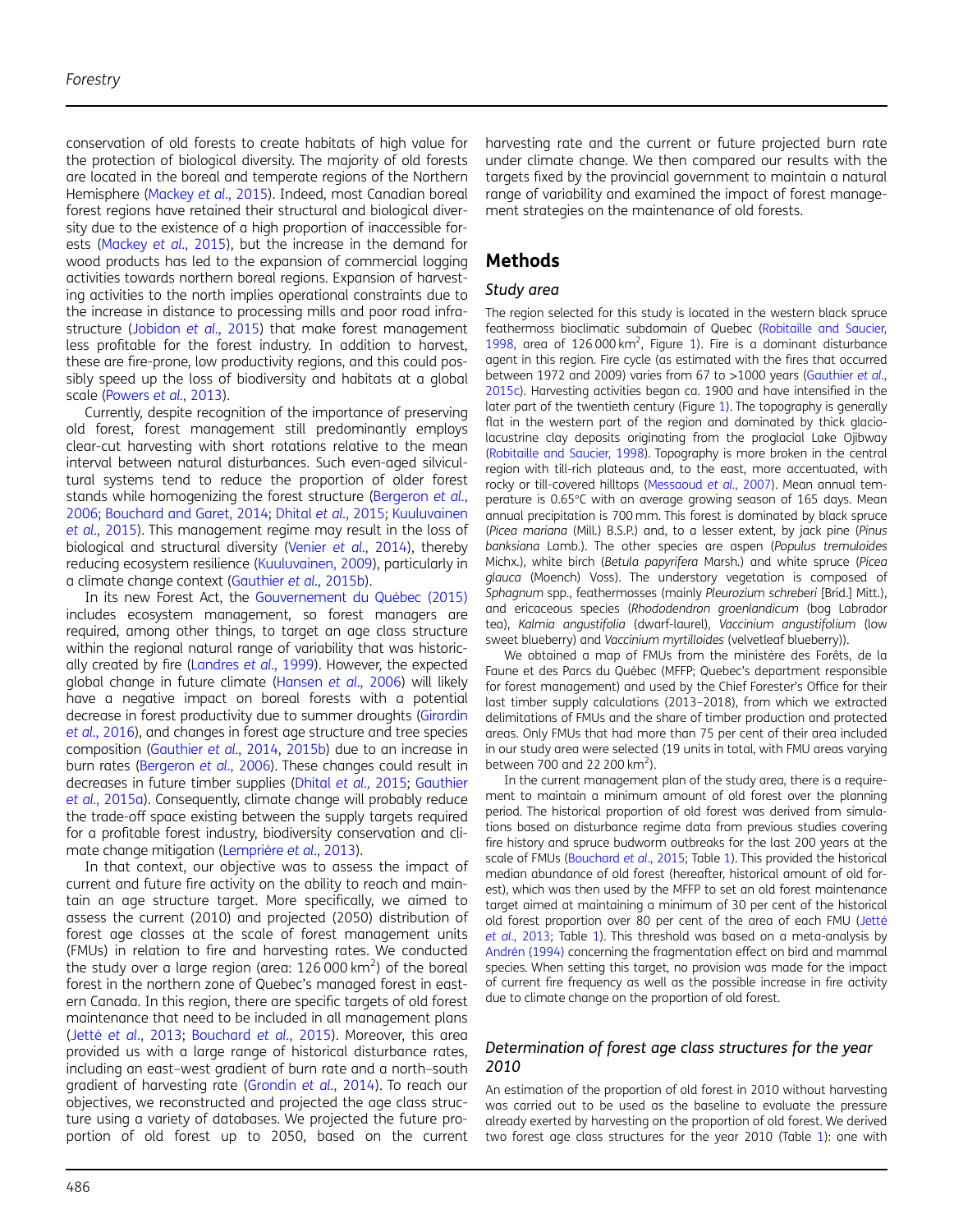conservation of old forests to create habitats of high value for the protection of biological diversity. The majority of old forests are located in the boreal and temperate regions of the Northern Hemisphere [\(Mackey](#page-9-0) et al., 2015). Indeed, most Canadian boreal forest regions have retained their structural and biological diversity due to the existence of a high proportion of inaccessible forests [\(Mackey](#page-9-0) et al., 2015), but the increase in the demand for wood products has led to the expansion of commercial logging activities towards northern boreal regions. Expansion of harvesting activities to the north implies operational constraints due to the increase in distance to processing mills and poor road infrastructure ([Jobidon](#page-9-0) et al., 2015) that make forest management less profitable for the forest industry. In addition to harvest, these are fire-prone, low productivity regions, and this could possibly speed up the loss of biodiversity and habitats at a global scale [\(Powers](#page-10-0) et al., 2013).

Currently, despite recognition of the importance of preserving old forest, forest management still predominantly employs clear-cut harvesting with short rotations relative to the mean interval between natural disturbances. Such even-aged silvicultural systems tend to reduce the proportion of older forest stands while homogenizing the forest structure ([Bergeron](#page-8-0) et al., [2006;](#page-8-0) [Bouchard and Garet, 2014](#page-8-0); Dhital et al.[, 2015](#page-9-0); [Kuuluvainen](#page-9-0) et al.[, 2015\)](#page-9-0). This management regime may result in the loss of biological and structural diversity (Venier et al.[, 2014](#page-10-0)), thereby reducing ecosystem resilience ([Kuuluvainen, 2009](#page-9-0)), particularly in a climate change context ([Gauthier](#page-9-0) et al., 2015b).

In its new Forest Act, the [Gouvernement du Québec \(2015\)](#page-9-0) includes ecosystem management, so forest managers are required, among other things, to target an age class structure within the regional natural range of variability that was historically created by fire ([Landres](#page-9-0) et al., 1999). However, the expected global change in future climate ([Hansen](#page-9-0) et al., 2006) will likely have a negative impact on boreal forests with a potential decrease in forest productivity due to summer droughts [\(Girardin](#page-9-0) et al.[, 2016](#page-9-0)), and changes in forest age structure and tree species composition ([Gauthier](#page-9-0) et al., 2014, [2015b](#page-9-0)) due to an increase in burn rates ([Bergeron](#page-8-0) et al., 2006). These changes could result in decreases in future timber supplies (Dhital et al.[, 2015](#page-9-0); [Gauthier](#page-9-0) et al.[, 2015a](#page-9-0)). Consequently, climate change will probably reduce the trade-off space existing between the supply targets required for a profitable forest industry, biodiversity conservation and climate change mitigation [\(Lemprière](#page-9-0) et al., 2013).

In that context, our objective was to assess the impact of current and future fire activity on the ability to reach and maintain an age structure target. More specifically, we aimed to assess the current (2010) and projected (2050) distribution of forest age classes at the scale of forest management units (FMUs) in relation to fire and harvesting rates. We conducted the study over a large region (area: 126 $\,$  000 km $^2)$  of the boreal forest in the northern zone of Quebec's managed forest in eastern Canada. In this region, there are specific targets of old forest maintenance that need to be included in all management plans (Jetté et al.[, 2013](#page-9-0); [Bouchard](#page-8-0) et al., 2015). Moreover, this area provided us with a large range of historical disturbance rates, including an east–west gradient of burn rate and a north–south gradient of harvesting rate [\(Grondin](#page-9-0) et al., 2014). To reach our objectives, we reconstructed and projected the age class structure using a variety of databases. We projected the future proportion of old forest up to 2050, based on the current harvesting rate and the current or future projected burn rate under climate change. We then compared our results with the targets fixed by the provincial government to maintain a natural range of variability and examined the impact of forest management strategies on the maintenance of old forests.

# Methods

#### Study area

The region selected for this study is located in the western black spruce feathermoss bioclimatic subdomain of Quebec ([Robitaille and Saucier,](#page-10-0) [1998,](#page-10-0) area of  $126000 \text{ km}^2$  $126000 \text{ km}^2$ , Figure 1). Fire is a dominant disturbance agent in this region. Fire cycle (as estimated with the fires that occurred between 1972 and 2009) varies from 67 to >1000 years [\(Gauthier](#page-9-0) et al., [2015c\)](#page-9-0). Harvesting activities began ca. 1900 and have intensified in the later part of the twentieth century (Figure [1](#page-2-0)). The topography is generally flat in the western part of the region and dominated by thick glaciolacustrine clay deposits originating from the proglacial Lake Ojibway [\(Robitaille and Saucier, 1998\)](#page-10-0). Topography is more broken in the central region with till-rich plateaus and, to the east, more accentuated, with rocky or till-covered hilltops [\(Messaoud](#page-9-0) et al., 2007). Mean annual temperature is 0.65°C with an average growing season of 165 days. Mean annual precipitation is 700 mm. This forest is dominated by black spruce (Picea mariana (Mill.) B.S.P.) and, to a lesser extent, by jack pine (Pinus banksiana Lamb.). The other species are aspen (Populus tremuloides Michx.), white birch (Betula papyrifera Marsh.) and white spruce (Picea glauca (Moench) Voss). The understory vegetation is composed of Sphagnum spp., feathermosses (mainly Pleurozium schreberi [Brid.] Mitt.), and ericaceous species (Rhododendron groenlandicum (bog Labrador tea), Kalmia angustifolia (dwarf-laurel), Vaccinium angustifolium (low sweet blueberry) and Vaccinium myrtilloides (velvetleaf blueberry)).

We obtained a map of FMUs from the ministère des Forêts, de la Faune et des Parcs du Québec (MFFP; Quebec's department responsible for forest management) and used by the Chief Forester's Office for their last timber supply calculations (2013–2018), from which we extracted delimitations of FMUs and the share of timber production and protected areas. Only FMUs that had more than 75 per cent of their area included in our study area were selected (19 units in total, with FMU areas varying between 700 and 22 200  $km<sup>2</sup>$ ).

In the current management plan of the study area, there is a requirement to maintain a minimum amount of old forest over the planning period. The historical proportion of old forest was derived from simulations based on disturbance regime data from previous studies covering fire history and spruce budworm outbreaks for the last 200 years at the scale of FMUs ([Bouchard](#page-8-0) et al., 20[1](#page-3-0)5; Table 1). This provided the historical median abundance of old forest (hereafter, historical amount of old forest), which was then used by the MFFP to set an old forest maintenance target aimed at maintaining a minimum of 30 per cent of the historical old forest proportion over 80 per cent of the area of each FMU [\(Jetté](#page-9-0) et al.[, 2013](#page-9-0); Table [1](#page-3-0)). This threshold was based on a meta-analysis by [Andrén \(1994\)](#page-8-0) concerning the fragmentation effect on bird and mammal species. When setting this target, no provision was made for the impact of current fire frequency as well as the possible increase in fire activity due to climate change on the proportion of old forest.

### Determination of forest age class structures for the year 2010

An estimation of the proportion of old forest in 2010 without harvesting was carried out to be used as the baseline to evaluate the pressure already exerted by harvesting on the proportion of old forest. We derived two forest age class structures for the year 2010 (Table [1](#page-3-0)): one with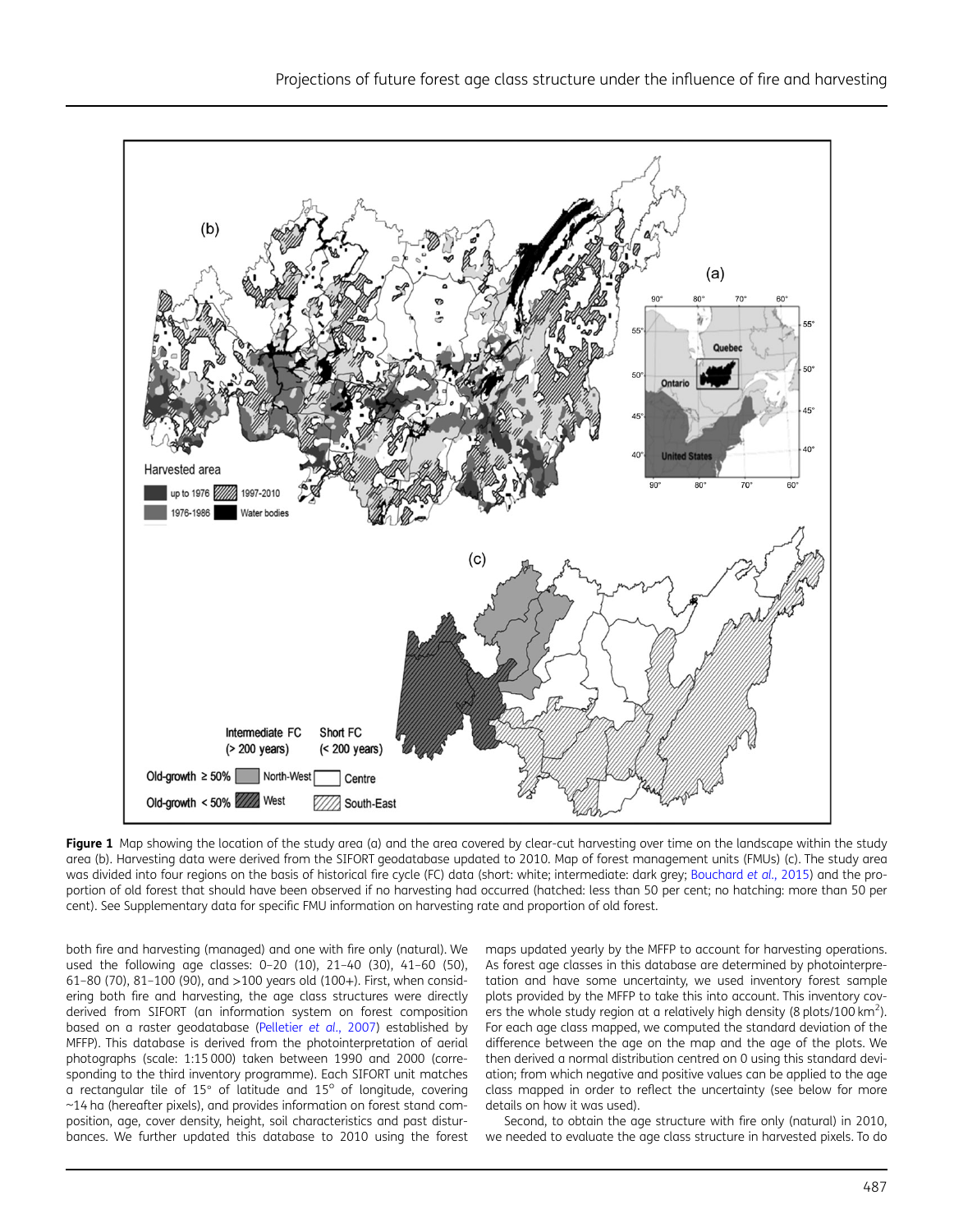<span id="page-2-0"></span>

Figure 1 Map showing the location of the study area (a) and the area covered by clear-cut harvesting over time on the landscape within the study area (b). Harvesting data were derived from the SIFORT geodatabase updated to 2010. Map of forest management units (FMUs) (c). The study area was divided into four regions on the basis of historical fire cycle (FC) data (short: white; intermediate: dark grey; [Bouchard](#page-8-0) et al., 2015) and the proportion of old forest that should have been observed if no harvesting had occurred (hatched: less than 50 per cent; no hatching: more than 50 per cent). See Supplementary data for specific FMU information on harvesting rate and proportion of old forest.

both fire and harvesting (managed) and one with fire only (natural). We used the following age classes: 0–20 (10), 21–40 (30), 41–60 (50), 61–80 (70), 81–100 (90), and >100 years old (100+). First, when considering both fire and harvesting, the age class structures were directly derived from SIFORT (an information system on forest composition based on a raster geodatabase ([Pelletier](#page-9-0) et al., 2007) established by MFFP). This database is derived from the photointerpretation of aerial photographs (scale: 1:15 000) taken between 1990 and 2000 (corresponding to the third inventory programme). Each SIFORT unit matches a rectangular tile of  $15^{\circ}$  of latitude and  $15^{\circ}$  of longitude, covering ~14 ha (hereafter pixels), and provides information on forest stand composition, age, cover density, height, soil characteristics and past disturbances. We further updated this database to 2010 using the forest

maps updated yearly by the MFFP to account for harvesting operations. As forest age classes in this database are determined by photointerpretation and have some uncertainty, we used inventory forest sample plots provided by the MFFP to take this into account. This inventory covers the whole study region at a relatively high density (8 plots/100 km<sup>2</sup>). For each age class mapped, we computed the standard deviation of the difference between the age on the map and the age of the plots. We then derived a normal distribution centred on 0 using this standard deviation; from which negative and positive values can be applied to the age class mapped in order to reflect the uncertainty (see below for more details on how it was used).

Second, to obtain the age structure with fire only (natural) in 2010, we needed to evaluate the age class structure in harvested pixels. To do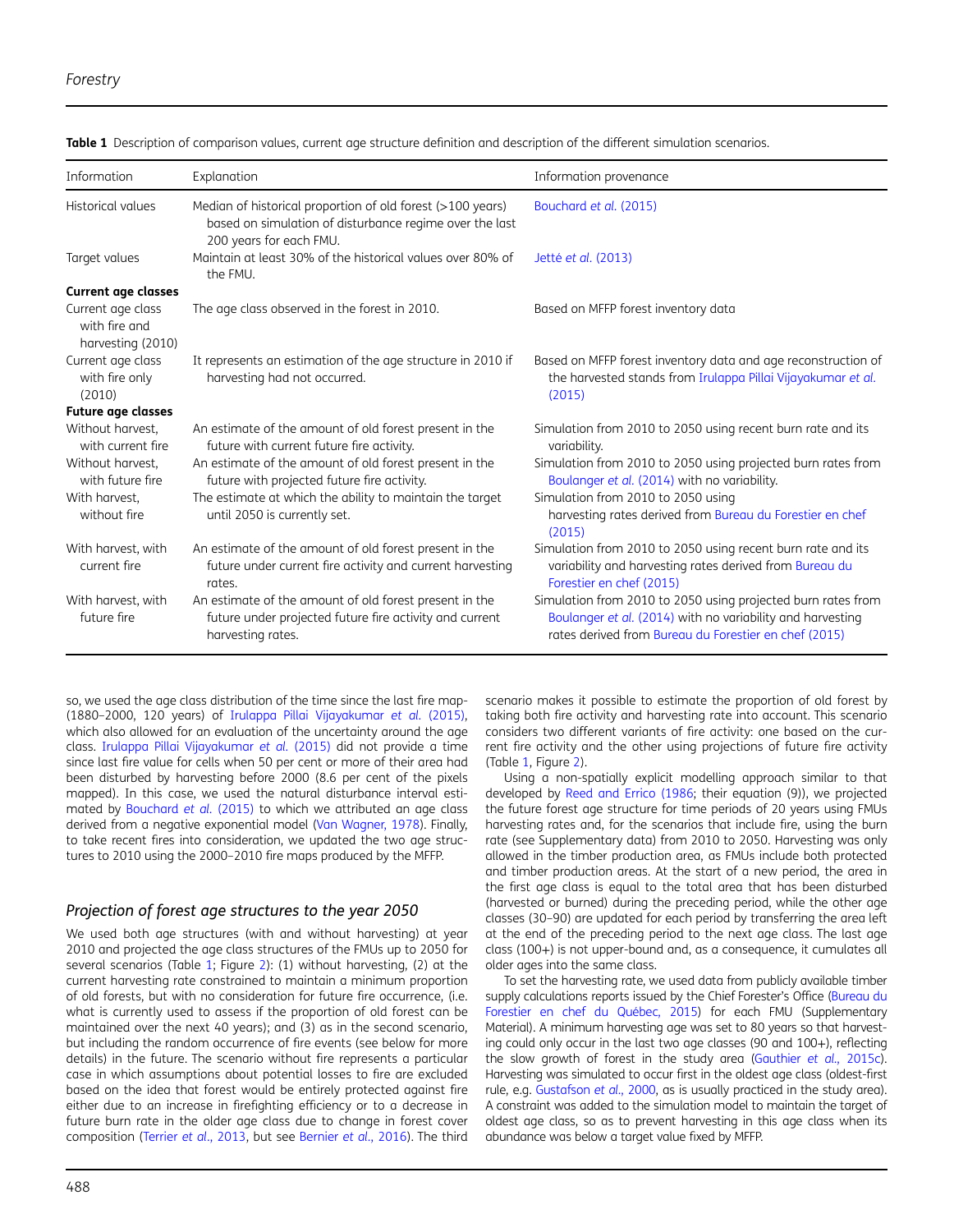| Information                                             | Explanation                                                                                                                                      | Information provenance                                                                                                                                                              |
|---------------------------------------------------------|--------------------------------------------------------------------------------------------------------------------------------------------------|-------------------------------------------------------------------------------------------------------------------------------------------------------------------------------------|
| Historical values                                       | Median of historical proportion of old forest (>100 years)<br>based on simulation of disturbance regime over the last<br>200 years for each FMU. | Bouchard et al. (2015)                                                                                                                                                              |
| Target values                                           | Maintain at least 30% of the historical values over 80% of<br>the FMU.                                                                           | Jetté et al. (2013)                                                                                                                                                                 |
| <b>Current age classes</b>                              |                                                                                                                                                  |                                                                                                                                                                                     |
| Current age class<br>with fire and<br>harvesting (2010) | The age class observed in the forest in 2010.                                                                                                    | Based on MFFP forest inventory data                                                                                                                                                 |
| Current age class<br>with fire only<br>(2010)           | It represents an estimation of the age structure in 2010 if<br>harvesting had not occurred.                                                      | Based on MFFP forest inventory data and age reconstruction of<br>the harvested stands from Irulappa Pillai Vijayakumar et al.<br>(2015)                                             |
| <b>Future age classes</b>                               |                                                                                                                                                  |                                                                                                                                                                                     |
| Without harvest,<br>with current fire                   | An estimate of the amount of old forest present in the<br>future with current future fire activity.                                              | Simulation from 2010 to 2050 using recent burn rate and its<br>variability.                                                                                                         |
| Without harvest.<br>with future fire                    | An estimate of the amount of old forest present in the<br>future with projected future fire activity.                                            | Simulation from 2010 to 2050 using projected burn rates from<br>Boulanger et al. (2014) with no variability.                                                                        |
| With harvest,                                           | The estimate at which the ability to maintain the target                                                                                         | Simulation from 2010 to 2050 using                                                                                                                                                  |
| without fire                                            | until 2050 is currently set.                                                                                                                     | harvesting rates derived from Bureau du Forestier en chef<br>(2015)                                                                                                                 |
| With harvest, with<br>current fire                      | An estimate of the amount of old forest present in the<br>future under current fire activity and current harvesting<br>rates.                    | Simulation from 2010 to 2050 using recent burn rate and its<br>variability and harvesting rates derived from Bureau du<br>Forestier en chef (2015)                                  |
| With harvest, with<br>future fire                       | An estimate of the amount of old forest present in the<br>future under projected future fire activity and current<br>harvesting rates.           | Simulation from 2010 to 2050 using projected burn rates from<br>Boulanger et al. (2014) with no variability and harvesting<br>rates derived from Bureau du Forestier en chef (2015) |

<span id="page-3-0"></span>Table 1 Description of comparison values, current age structure definition and description of the different simulation scenarios.

so, we used the age class distribution of the time since the last fire map- (1880–2000, 120 years) of [Irulappa Pillai Vijayakumar](#page-9-0) et al. (2015), which also allowed for an evaluation of the uncertainty around the age class. [Irulappa Pillai Vijayakumar](#page-9-0) et al. (2015) did not provide a time since last fire value for cells when 50 per cent or more of their area had been disturbed by harvesting before 2000 (8.6 per cent of the pixels mapped). In this case, we used the natural disturbance interval estimated by [Bouchard](#page-8-0) et al. (2015) to which we attributed an age class derived from a negative exponential model [\(Van Wagner, 1978\)](#page-10-0). Finally, to take recent fires into consideration, we updated the two age structures to 2010 using the 2000–2010 fire maps produced by the MFFP.

#### Projection of forest age structures to the year 2050

We used both age structures (with and without harvesting) at year 2010 and projected the age class structures of the FMUs up to 2050 for several scenarios (Table 1; Figure [2](#page-4-0)): (1) without harvesting, (2) at the current harvesting rate constrained to maintain a minimum proportion of old forests, but with no consideration for future fire occurrence, (i.e. what is currently used to assess if the proportion of old forest can be maintained over the next 40 years); and (3) as in the second scenario, but including the random occurrence of fire events (see below for more details) in the future. The scenario without fire represents a particular case in which assumptions about potential losses to fire are excluded based on the idea that forest would be entirely protected against fire either due to an increase in firefighting efficiency or to a decrease in future burn rate in the older age class due to change in forest cover composition ([Terrier](#page-10-0) et al., [2013](#page-10-0), but see [Bernier](#page-8-0) et al., 2016). The third scenario makes it possible to estimate the proportion of old forest by taking both fire activity and harvesting rate into account. This scenario considers two different variants of fire activity: one based on the current fire activity and the other using projections of future fire activity (Table 1, Figure [2\)](#page-4-0).

Using a non-spatially explicit modelling approach similar to that developed by [Reed and Errico \(1986](#page-10-0); their equation (9)), we projected the future forest age structure for time periods of 20 years using FMUs harvesting rates and, for the scenarios that include fire, using the burn rate (see [Supplementary](http://forestry.oxfordjournals.org/lookup/suppl/doi:10.1093/forestry/cpx022/-/DC1) data) from 2010 to 2050. Harvesting was only allowed in the timber production area, as FMUs include both protected and timber production areas. At the start of a new period, the area in the first age class is equal to the total area that has been disturbed (harvested or burned) during the preceding period, while the other age classes (30–90) are updated for each period by transferring the area left at the end of the preceding period to the next age class. The last age class (100+) is not upper-bound and, as a consequence, it cumulates all older ages into the same class.

To set the harvesting rate, we used data from publicly available timber supply calculations reports issued by the Chief Forester's Office [\(Bureau du](#page-8-0) [Forestier en chef du Québec, 2015\)](#page-8-0) for each FMU [\(Supplementary](http://forestry.oxfordjournals.org/lookup/suppl/doi:10.1093/forestry/cpx022/-/DC1) [Material\)](http://forestry.oxfordjournals.org/lookup/suppl/doi:10.1093/forestry/cpx022/-/DC1). A minimum harvesting age was set to 80 years so that harvesting could only occur in the last two age classes (90 and 100+), reflecting the slow growth of forest in the study area ([Gauthier](#page-9-0) et al., 2015c). Harvesting was simulated to occur first in the oldest age class (oldest-first rule, e.g. [Gustafson](#page-9-0) et al., 2000, as is usually practiced in the study area). A constraint was added to the simulation model to maintain the target of oldest age class, so as to prevent harvesting in this age class when its abundance was below a target value fixed by MFFP.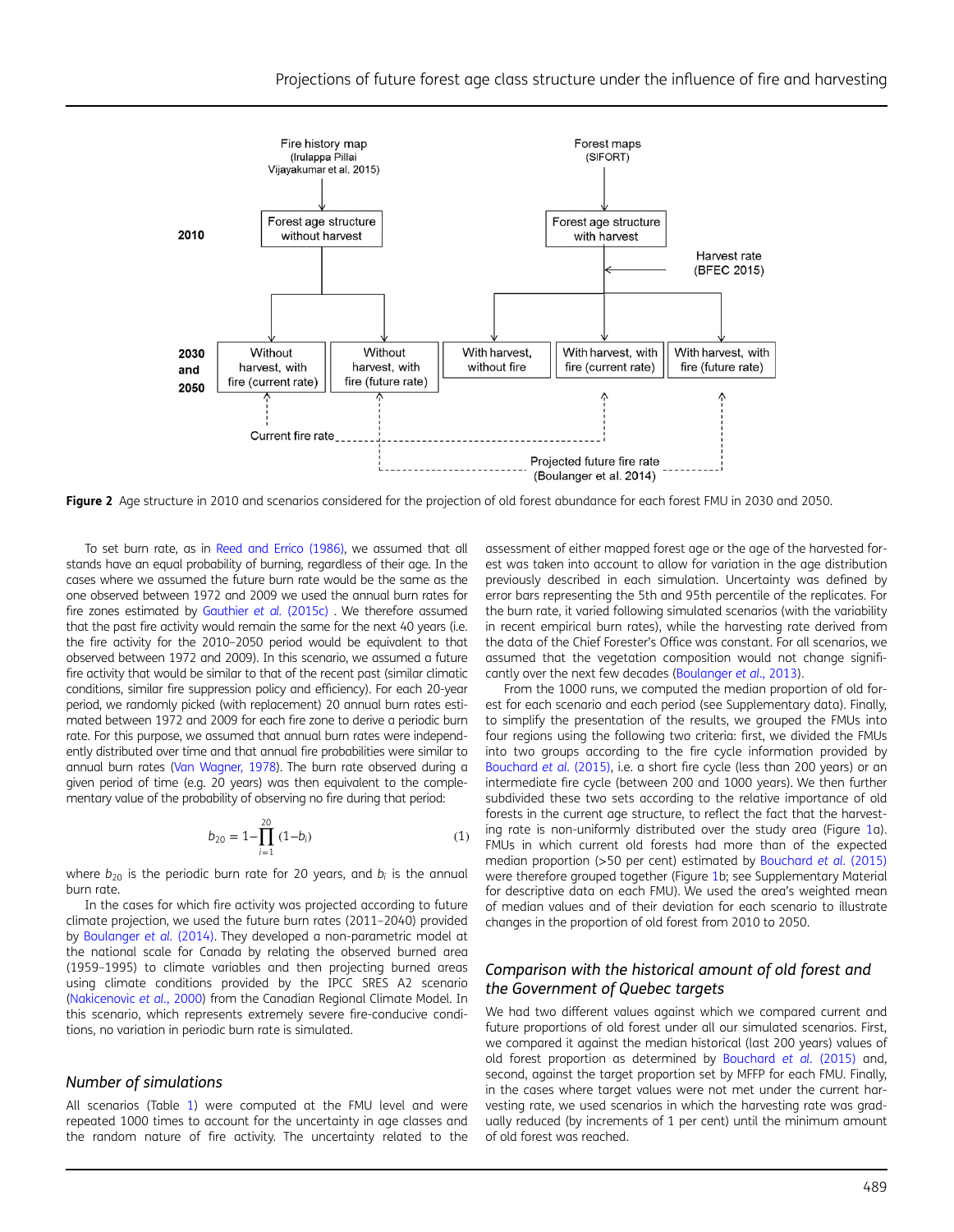<span id="page-4-0"></span>

Figure 2 Age structure in 2010 and scenarios considered for the projection of old forest abundance for each forest FMU in 2030 and 2050.

To set burn rate, as in [Reed and Errico \(1986\),](#page-10-0) we assumed that all stands have an equal probability of burning, regardless of their age. In the cases where we assumed the future burn rate would be the same as the one observed between 1972 and 2009 we used the annual burn rates for fire zones estimated by [Gauthier](#page-9-0) et al. (2015c) . We therefore assumed that the past fire activity would remain the same for the next 40 years (i.e. the fire activity for the 2010–2050 period would be equivalent to that observed between 1972 and 2009). In this scenario, we assumed a future fire activity that would be similar to that of the recent past (similar climatic conditions, similar fire suppression policy and efficiency). For each 20-year period, we randomly picked (with replacement) 20 annual burn rates estimated between 1972 and 2009 for each fire zone to derive a periodic burn rate. For this purpose, we assumed that annual burn rates were independently distributed over time and that annual fire probabilities were similar to annual burn rates ([Van Wagner, 1978](#page-10-0)). The burn rate observed during a given period of time (e.g. 20 years) was then equivalent to the complementary value of the probability of observing no fire during that period:

$$
b_{20} = 1 - \prod_{i=1}^{20} (1 - b_i)
$$
 (1)

where  $b_{20}$  is the periodic burn rate for 20 years, and  $b_i$  is the annual burn rate.

In the cases for which fire activity was projected according to future climate projection, we used the future burn rates (2011–2040) provided by [Boulanger](#page-8-0) et al. (2014). They developed a non-parametric model at the national scale for Canada by relating the observed burned area (1959–1995) to climate variables and then projecting burned areas using climate conditions provided by the IPCC SRES A2 scenario [\(Nakicenovic](#page-9-0) et al., 2000) from the Canadian Regional Climate Model. In this scenario, which represents extremely severe fire-conducive conditions, no variation in periodic burn rate is simulated.

#### Number of simulations

All scenarios (Table [1\)](#page-3-0) were computed at the FMU level and were repeated 1000 times to account for the uncertainty in age classes and the random nature of fire activity. The uncertainty related to the

assessment of either mapped forest age or the age of the harvested forest was taken into account to allow for variation in the age distribution previously described in each simulation. Uncertainty was defined by error bars representing the 5th and 95th percentile of the replicates. For the burn rate, it varied following simulated scenarios (with the variability in recent empirical burn rates), while the harvesting rate derived from the data of the Chief Forester's Office was constant. For all scenarios, we assumed that the vegetation composition would not change significantly over the next few decades [\(Boulanger](#page-8-0) et al., 2013).

From the 1000 runs, we computed the median proportion of old forest for each scenario and each period (see [Supplementary d](http://forestry.oxfordjournals.org/lookup/suppl/doi:10.1093/forestry/cpx022/-/DC1)ata). Finally, to simplify the presentation of the results, we grouped the FMUs into four regions using the following two criteria: first, we divided the FMUs into two groups according to the fire cycle information provided by [Bouchard](#page-8-0) et al. (2015), i.e. a short fire cycle (less than 200 years) or an intermediate fire cycle (between 200 and 1000 years). We then further subdivided these two sets according to the relative importance of old forests in the current age structure, to reflect the fact that the harvesting rate is non-uniformly distributed over the study area (Figure [1a](#page-2-0)). FMUs in which current old forests had more than of the expected median proportion (>50 per cent) estimated by [Bouchard](#page-8-0) et al. (2015) were therefore grouped together (Figure [1b](#page-2-0); see [Supplementary Material](http://forestry.oxfordjournals.org/lookup/suppl/doi:10.1093/forestry/cpx022/-/DC1) for descriptive data on each FMU). We used the area's weighted mean of median values and of their deviation for each scenario to illustrate changes in the proportion of old forest from 2010 to 2050.

#### Comparison with the historical amount of old forest and the Government of Quebec targets

We had two different values against which we compared current and future proportions of old forest under all our simulated scenarios. First, we compared it against the median historical (last 200 years) values of old forest proportion as determined by [Bouchard](#page-8-0) et al. (2015) and, second, against the target proportion set by MFFP for each FMU. Finally, in the cases where target values were not met under the current harvesting rate, we used scenarios in which the harvesting rate was gradually reduced (by increments of 1 per cent) until the minimum amount of old forest was reached.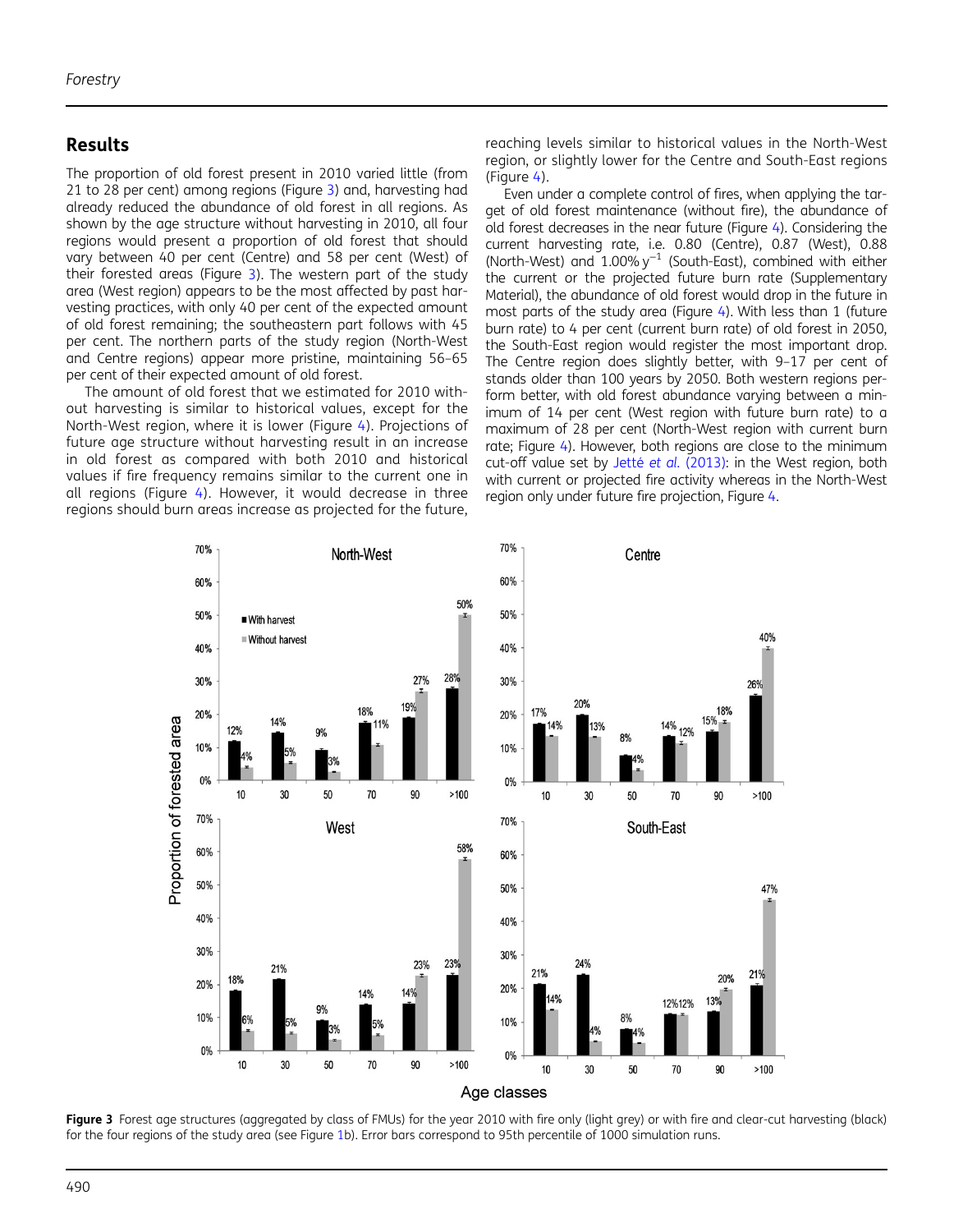### Results

The proportion of old forest present in 2010 varied little (from 21 to 28 per cent) among regions (Figure 3) and, harvesting had already reduced the abundance of old forest in all regions. As shown by the age structure without harvesting in 2010, all four regions would present a proportion of old forest that should vary between 40 per cent (Centre) and 58 per cent (West) of their forested areas (Figure 3). The western part of the study area (West region) appears to be the most affected by past harvesting practices, with only 40 per cent of the expected amount of old forest remaining; the southeastern part follows with 45 per cent. The northern parts of the study region (North-West and Centre regions) appear more pristine, maintaining 56–65 per cent of their expected amount of old forest.

The amount of old forest that we estimated for 2010 without harvesting is similar to historical values, except for the North-West region, where it is lower (Figure [4](#page-6-0)). Projections of future age structure without harvesting result in an increase in old forest as compared with both 2010 and historical values if fire frequency remains similar to the current one in all regions (Figure [4\)](#page-6-0). However, it would decrease in three regions should burn areas increase as projected for the future, reaching levels similar to historical values in the North-West region, or slightly lower for the Centre and South-East regions (Figure [4\)](#page-6-0).

Even under a complete control of fires, when applying the target of old forest maintenance (without fire), the abundance of old forest decreases in the near future (Figure [4\)](#page-6-0). Considering the current harvesting rate, i.e. 0.80 (Centre), 0.87 (West), 0.88 (North-West) and 1.00% y−<sup>1</sup> (South-East), combined with either the current or the projected future burn rate [\(Supplementary](http://forestry.oxfordjournals.org/lookup/suppl/doi:10.1093/forestry/cpx022/-/DC1) [Material](http://forestry.oxfordjournals.org/lookup/suppl/doi:10.1093/forestry/cpx022/-/DC1)), the abundance of old forest would drop in the future in most parts of the study area (Figure [4](#page-6-0)). With less than 1 (future burn rate) to 4 per cent (current burn rate) of old forest in 2050, the South-East region would register the most important drop. The Centre region does slightly better, with 9–17 per cent of stands older than 100 years by 2050. Both western regions perform better, with old forest abundance varying between a minimum of 14 per cent (West region with future burn rate) to a maximum of 28 per cent (North-West region with current burn rate; Figure [4\)](#page-6-0). However, both regions are close to the minimum cut-off value set by Jetté et al. [\(2013\)](#page-9-0): in the West region, both with current or projected fire activity whereas in the North-West region only under future fire projection, Figure [4](#page-6-0).



Figure 3 Forest age structures (aggregated by class of FMUs) for the year 2010 with fire only (light grey) or with fire and clear-cut harvesting (black) for the four regions of the study area (see Figure [1](#page-2-0)b). Error bars correspond to 95th percentile of 1000 simulation runs.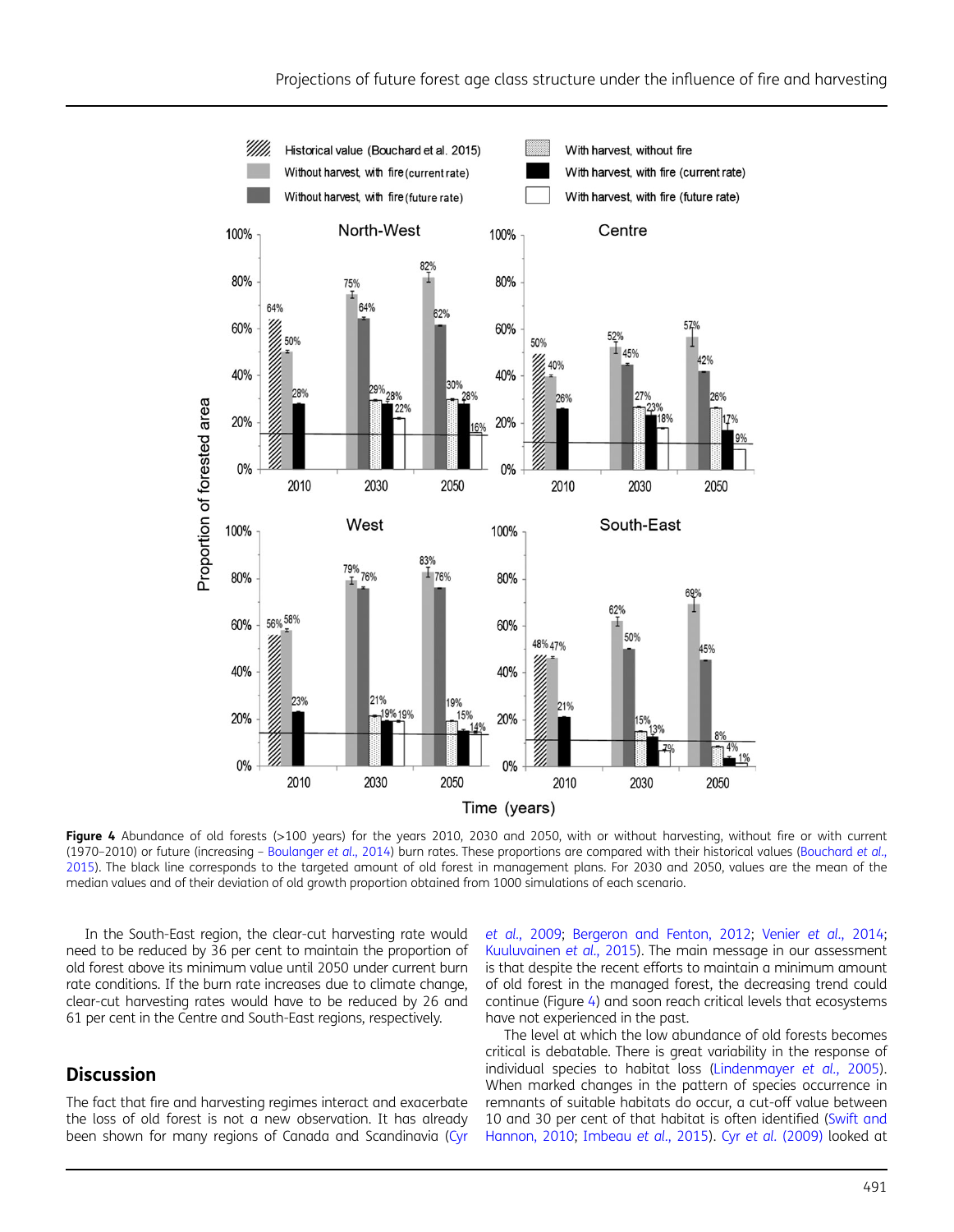<span id="page-6-0"></span>

Figure 4 Abundance of old forests (>100 years) for the years 2010, 2030 and 2050, with or without harvesting, without fire or with current (1970–2010) or future (increasing – [Boulanger](#page-8-0) et al., 2014) burn rates. These proportions are compared with their historical values [\(Bouchard](#page-8-0) et al., [2015\)](#page-8-0). The black line corresponds to the targeted amount of old forest in management plans. For 2030 and 2050, values are the mean of the median values and of their deviation of old growth proportion obtained from 1000 simulations of each scenario.

In the South-East region, the clear-cut harvesting rate would need to be reduced by 36 per cent to maintain the proportion of old forest above its minimum value until 2050 under current burn rate conditions. If the burn rate increases due to climate change, clear-cut harvesting rates would have to be reduced by 26 and 61 per cent in the Centre and South-East regions, respectively.

### **Discussion**

The fact that fire and harvesting regimes interact and exacerbate the loss of old forest is not a new observation. It has already been shown for many regions of Canada and Scandinavia [\(Cyr](#page-9-0)

et al.[, 2009;](#page-9-0) [Bergeron and Fenton, 2012](#page-8-0); Venier et al.[, 2014;](#page-10-0) [Kuuluvainen](#page-9-0) et al., 2015). The main message in our assessment is that despite the recent efforts to maintain a minimum amount of old forest in the managed forest, the decreasing trend could continue (Figure 4) and soon reach critical levels that ecosystems have not experienced in the past.

The level at which the low abundance of old forests becomes critical is debatable. There is great variability in the response of individual species to habitat loss [\(Lindenmayer](#page-9-0) et al., 2005). When marked changes in the pattern of species occurrence in remnants of suitable habitats do occur, a cut-off value between 10 and 30 per cent of that habitat is often identified [\(Swift and](#page-10-0) [Hannon, 2010;](#page-10-0) [Imbeau](#page-9-0) et al., 2015). Cyr et al. [\(2009\)](#page-9-0) looked at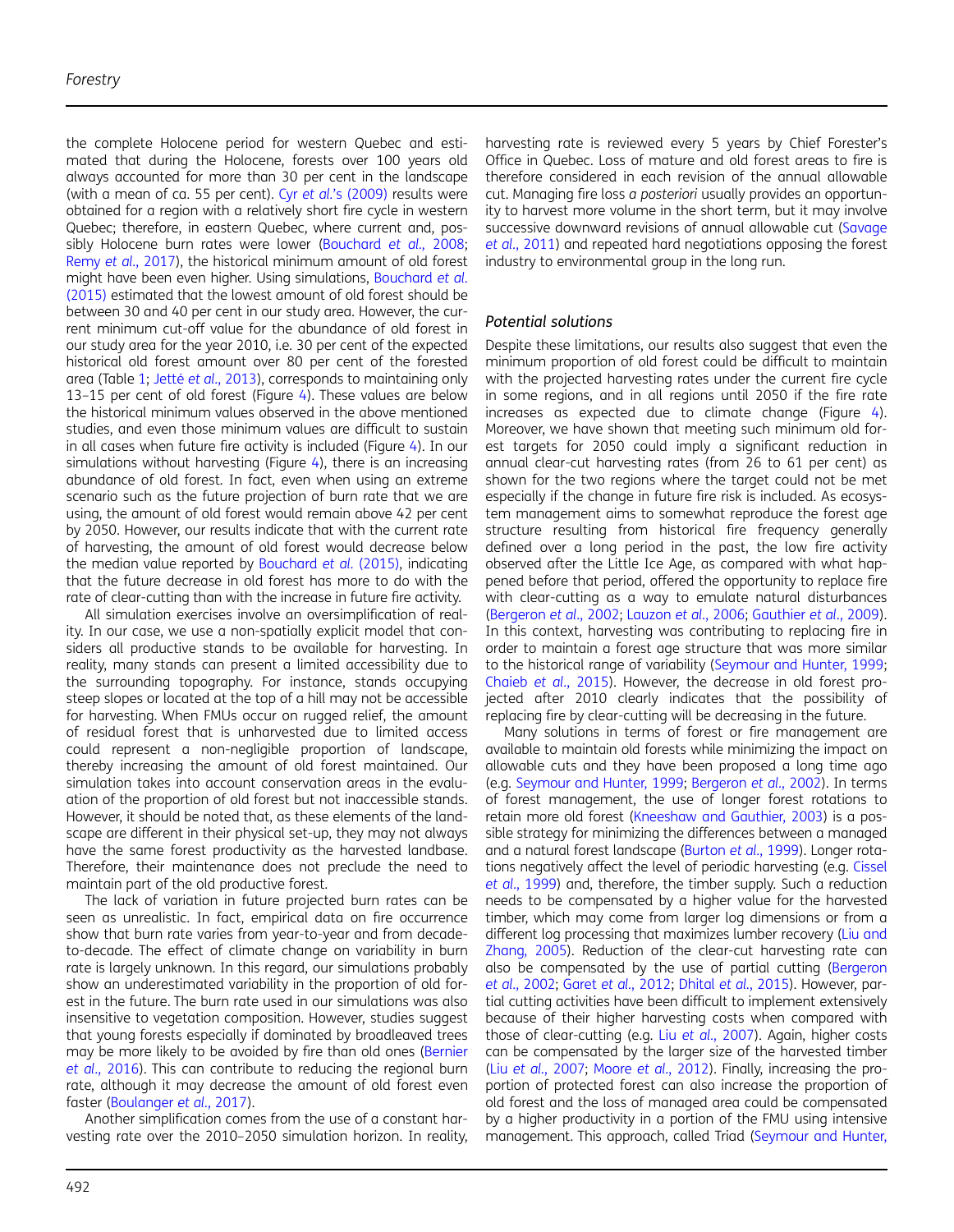the complete Holocene period for western Quebec and estimated that during the Holocene, forests over 100 years old always accounted for more than 30 per cent in the landscape (with a mean of ca. 55 per cent). Cyr et al.'[s \(2009\)](#page-9-0) results were obtained for a region with a relatively short fire cycle in western Quebec; therefore, in eastern Quebec, where current and, pos-sibly Holocene burn rates were lower [\(Bouchard](#page-8-0) et al., 2008; Remy et al.[, 2017\)](#page-10-0), the historical minimum amount of old forest might have been even higher. Using simulations, [Bouchard](#page-8-0) et al. [\(2015\)](#page-8-0) estimated that the lowest amount of old forest should be between 30 and 40 per cent in our study area. However, the current minimum cut-off value for the abundance of old forest in our study area for the year 2010, i.e. 30 per cent of the expected historical old forest amount over 80 per cent of the forested area (Table [1;](#page-3-0) Jetté et al.[, 2013\)](#page-9-0), corresponds to maintaining only 13–15 per cent of old forest (Figure [4](#page-6-0)). These values are below the historical minimum values observed in the above mentioned studies, and even those minimum values are difficult to sustain in all cases when future fire activity is included (Figure  $4$ ). In our simulations without harvesting (Figure [4](#page-6-0)), there is an increasing abundance of old forest. In fact, even when using an extreme scenario such as the future projection of burn rate that we are using, the amount of old forest would remain above 42 per cent by 2050. However, our results indicate that with the current rate of harvesting, the amount of old forest would decrease below the median value reported by [Bouchard](#page-8-0) et al. (2015), indicating that the future decrease in old forest has more to do with the rate of clear-cutting than with the increase in future fire activity.

All simulation exercises involve an oversimplification of reality. In our case, we use a non-spatially explicit model that considers all productive stands to be available for harvesting. In reality, many stands can present a limited accessibility due to the surrounding topography. For instance, stands occupying steep slopes or located at the top of a hill may not be accessible for harvesting. When FMUs occur on rugged relief, the amount of residual forest that is unharvested due to limited access could represent a non-negligible proportion of landscape, thereby increasing the amount of old forest maintained. Our simulation takes into account conservation areas in the evaluation of the proportion of old forest but not inaccessible stands. However, it should be noted that, as these elements of the landscape are different in their physical set-up, they may not always have the same forest productivity as the harvested landbase. Therefore, their maintenance does not preclude the need to maintain part of the old productive forest.

The lack of variation in future projected burn rates can be seen as unrealistic. In fact, empirical data on fire occurrence show that burn rate varies from year-to-year and from decadeto-decade. The effect of climate change on variability in burn rate is largely unknown. In this regard, our simulations probably show an underestimated variability in the proportion of old forest in the future. The burn rate used in our simulations was also insensitive to vegetation composition. However, studies suggest that young forests especially if dominated by broadleaved trees may be more likely to be avoided by fire than old ones ([Bernier](#page-8-0) et al.[, 2016](#page-8-0)). This can contribute to reducing the regional burn rate, although it may decrease the amount of old forest even faster [\(Boulanger](#page-8-0) et al., 2017).

Another simplification comes from the use of a constant harvesting rate over the 2010–2050 simulation horizon. In reality,

harvesting rate is reviewed every 5 years by Chief Forester's Office in Quebec. Loss of mature and old forest areas to fire is therefore considered in each revision of the annual allowable cut. Managing fire loss a posteriori usually provides an opportunity to harvest more volume in the short term, but it may involve successive downward revisions of annual allowable cut [\(Savage](#page-10-0) et al.[, 2011\)](#page-10-0) and repeated hard negotiations opposing the forest industry to environmental group in the long run.

#### Potential solutions

Despite these limitations, our results also suggest that even the minimum proportion of old forest could be difficult to maintain with the projected harvesting rates under the current fire cycle in some regions, and in all regions until 2050 if the fire rate increases as expected due to climate change (Figure [4\)](#page-6-0). Moreover, we have shown that meeting such minimum old forest targets for 2050 could imply a significant reduction in annual clear-cut harvesting rates (from 26 to 61 per cent) as shown for the two regions where the target could not be met especially if the change in future fire risk is included. As ecosystem management aims to somewhat reproduce the forest age structure resulting from historical fire frequency generally defined over a long period in the past, the low fire activity observed after the Little Ice Age, as compared with what happened before that period, offered the opportunity to replace fire with clear-cutting as a way to emulate natural disturbances ([Bergeron](#page-8-0) et al., 2002; [Lauzon](#page-9-0) et al., 2006; [Gauthier](#page-9-0) et al., 2009). In this context, harvesting was contributing to replacing fire in order to maintain a forest age structure that was more similar to the historical range of variability ([Seymour and Hunter, 1999;](#page-10-0) Chaieb et al.[, 2015](#page-8-0)). However, the decrease in old forest projected after 2010 clearly indicates that the possibility of replacing fire by clear-cutting will be decreasing in the future.

Many solutions in terms of forest or fire management are available to maintain old forests while minimizing the impact on allowable cuts and they have been proposed a long time ago (e.g. [Seymour and Hunter, 1999](#page-10-0); [Bergeron](#page-8-0) et al., 2002). In terms of forest management, the use of longer forest rotations to retain more old forest [\(Kneeshaw and Gauthier, 2003\)](#page-9-0) is a possible strategy for minimizing the differences between a managed and a natural forest landscape ([Burton](#page-8-0) et al., 1999). Longer rotations negatively affect the level of periodic harvesting (e.g. [Cissel](#page-8-0) et al.[, 1999](#page-8-0)) and, therefore, the timber supply. Such a reduction needs to be compensated by a higher value for the harvested timber, which may come from larger log dimensions or from a different log processing that maximizes lumber recovery ([Liu and](#page-9-0) [Zhang, 2005](#page-9-0)). Reduction of the clear-cut harvesting rate can also be compensated by the use of partial cutting [\(Bergeron](#page-8-0) et al.[, 2002;](#page-8-0) Garet et al.[, 2012;](#page-9-0) Dhital et al.[, 2015\)](#page-9-0). However, partial cutting activities have been difficult to implement extensively because of their higher harvesting costs when compared with those of clear-cutting (e.g. Liu et al.[, 2007](#page-9-0)). Again, higher costs can be compensated by the larger size of the harvested timber (Liu et al.[, 2007;](#page-9-0) Moore et al.[, 2012](#page-9-0)). Finally, increasing the proportion of protected forest can also increase the proportion of old forest and the loss of managed area could be compensated by a higher productivity in a portion of the FMU using intensive management. This approach, called Triad [\(Seymour and Hunter,](#page-10-0)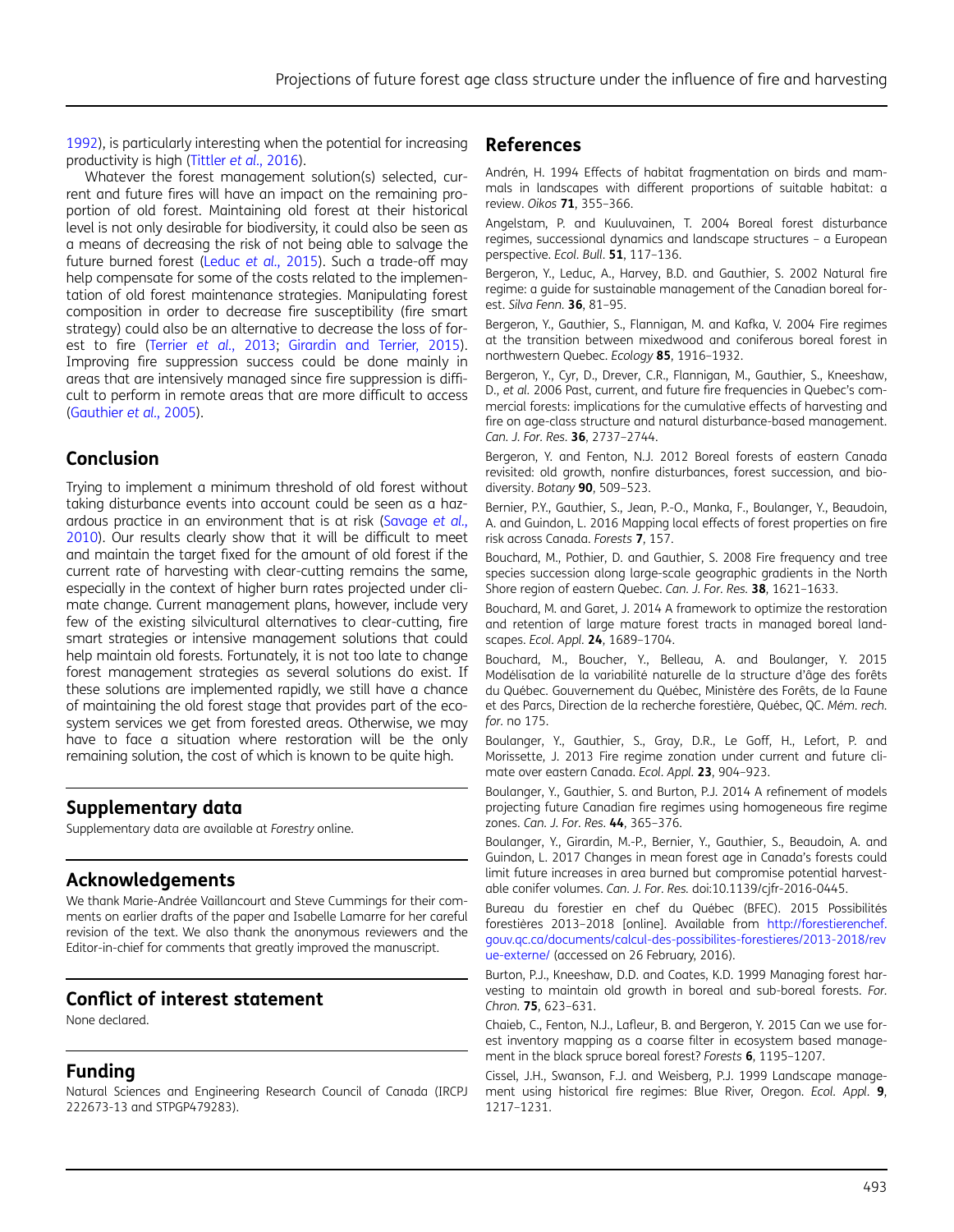<span id="page-8-0"></span>[1992\)](#page-10-0), is particularly interesting when the potential for increasing productivity is high (Tittler et al.[, 2016\)](#page-10-0).

Whatever the forest management solution(s) selected, current and future fires will have an impact on the remaining proportion of old forest. Maintaining old forest at their historical level is not only desirable for biodiversity, it could also be seen as a means of decreasing the risk of not being able to salvage the future burned forest (Leduc et al.[, 2015](#page-9-0)). Such a trade-off may help compensate for some of the costs related to the implementation of old forest maintenance strategies. Manipulating forest composition in order to decrease fire susceptibility (fire smart strategy) could also be an alternative to decrease the loss of for-est to fire (Terrier et al.[, 2013](#page-10-0); [Girardin and Terrier, 2015](#page-9-0)). Improving fire suppression success could be done mainly in areas that are intensively managed since fire suppression is difficult to perform in remote areas that are more difficult to access [\(Gauthier](#page-9-0) et al., 2005).

# Conclusion

Trying to implement a minimum threshold of old forest without taking disturbance events into account could be seen as a hazardous practice in an environment that is at risk [\(Savage](#page-10-0) et al., [2010\)](#page-10-0). Our results clearly show that it will be difficult to meet and maintain the target fixed for the amount of old forest if the current rate of harvesting with clear-cutting remains the same, especially in the context of higher burn rates projected under climate change. Current management plans, however, include very few of the existing silvicultural alternatives to clear-cutting, fire smart strategies or intensive management solutions that could help maintain old forests. Fortunately, it is not too late to change forest management strategies as several solutions do exist. If these solutions are implemented rapidly, we still have a chance of maintaining the old forest stage that provides part of the ecosystem services we get from forested areas. Otherwise, we may have to face a situation where restoration will be the only remaining solution, the cost of which is known to be quite high.

# Supplementary data

[Supplementary data are available at](http://forestry.oxfordjournals.org/lookup/suppl/doi:10.1093/forestry/cpx022/-/DC1) Forestry online.

### Acknowledgements

We thank Marie-Andrée Vaillancourt and Steve Cummings for their comments on earlier drafts of the paper and Isabelle Lamarre for her careful revision of the text. We also thank the anonymous reviewers and the Editor-in-chief for comments that greatly improved the manuscript.

# Conflict of interest statement

None declared.

# Funding

Natural Sciences and Engineering Research Council of Canada (IRCPJ 222673-13 and STPGP479283).

### References

Andrén, H. 1994 Effects of habitat fragmentation on birds and mammals in landscapes with different proportions of suitable habitat: a review. Oikos 71, 355–366.

Angelstam, P. and Kuuluvainen, T. 2004 Boreal forest disturbance regimes, successional dynamics and landscape structures – a European perspective. Ecol. Bull. 51, 117-136.

Bergeron, Y., Leduc, A., Harvey, B.D. and Gauthier, S. 2002 Natural fire regime: a guide for sustainable management of the Canadian boreal forest. Silva Fenn. 36, 81–95.

Bergeron, Y., Gauthier, S., Flannigan, M. and Kafka, V. 2004 Fire regimes at the transition between mixedwood and coniferous boreal forest in northwestern Quebec. Ecology 85, 1916–1932.

Bergeron, Y., Cyr, D., Drever, C.R., Flannigan, M., Gauthier, S., Kneeshaw, D., et al. 2006 Past, current, and future fire frequencies in Quebec's commercial forests: implications for the cumulative effects of harvesting and fire on age-class structure and natural disturbance-based management. Can. J. For. Res. 36, 2737–2744.

Bergeron, Y. and Fenton, N.J. 2012 Boreal forests of eastern Canada revisited: old growth, nonfire disturbances, forest succession, and biodiversity. Botany 90, 509-523.

Bernier, P.Y., Gauthier, S., Jean, P.-O., Manka, F., Boulanger, Y., Beaudoin, A. and Guindon, L. 2016 Mapping local effects of forest properties on fire risk across Canada. Forests 7, 157.

Bouchard, M., Pothier, D. and Gauthier, S. 2008 Fire frequency and tree species succession along large-scale geographic gradients in the North Shore region of eastern Quebec. Can. J. For. Res. 38, 1621-1633.

Bouchard, M. and Garet, J. 2014 A framework to optimize the restoration and retention of large mature forest tracts in managed boreal landscapes. Ecol. Appl. 24, 1689–1704.

Bouchard, M., Boucher, Y., Belleau, A. and Boulanger, Y. 2015 Modélisation de la variabilité naturelle de la structure d'âge des forêts du Québec. Gouvernement du Québec, Ministère des Forêts, de la Faune et des Parcs, Direction de la recherche forestière, Québec, QC. Mém. rech. for. no 175.

Boulanger, Y., Gauthier, S., Gray, D.R., Le Goff, H., Lefort, P. and Morissette, J. 2013 Fire regime zonation under current and future climate over eastern Canada. Ecol. Appl. 23, 904–923.

Boulanger, Y., Gauthier, S. and Burton, P.J. 2014 A refinement of models projecting future Canadian fire regimes using homogeneous fire regime zones. Can. J. For. Res. 44, 365–376.

Boulanger, Y., Girardin, M.-P., Bernier, Y., Gauthier, S., Beaudoin, A. and Guindon, L. 2017 Changes in mean forest age in Canada's forests could limit future increases in area burned but compromise potential harvestable conifer volumes. Can. J. For. Res. [doi:10.1139/cjfr-2016-0445.](http://dx.doi.org/10.1139/cjfr-2016-0445)

Bureau du forestier en chef du Québec (BFEC). 2015 Possibilités forestières 2013–2018 [online]. Available from [http://forestierenchef.](http://forestierenchef.gouv.qc.ca/documents/calcul-des-possibilites-forestieres/2013-2018/revue-externe/) [gouv.qc.ca/documents/calcul-des-possibilites-forestieres/2013-2018/rev](http://forestierenchef.gouv.qc.ca/documents/calcul-des-possibilites-forestieres/2013-2018/revue-externe/) [ue-externe/](http://forestierenchef.gouv.qc.ca/documents/calcul-des-possibilites-forestieres/2013-2018/revue-externe/) (accessed on 26 February, 2016).

Burton, P.J., Kneeshaw, D.D. and Coates, K.D. 1999 Managing forest harvesting to maintain old growth in boreal and sub-boreal forests. For. Chron. 75, 623–631.

Chaieb, C., Fenton, N.J., Lafleur, B. and Bergeron, Y. 2015 Can we use forest inventory mapping as a coarse filter in ecosystem based management in the black spruce boreal forest? Forests 6, 1195–1207.

Cissel, J.H., Swanson, F.J. and Weisberg, P.J. 1999 Landscape management using historical fire regimes: Blue River, Oregon. Ecol. Appl. 9, 1217–1231.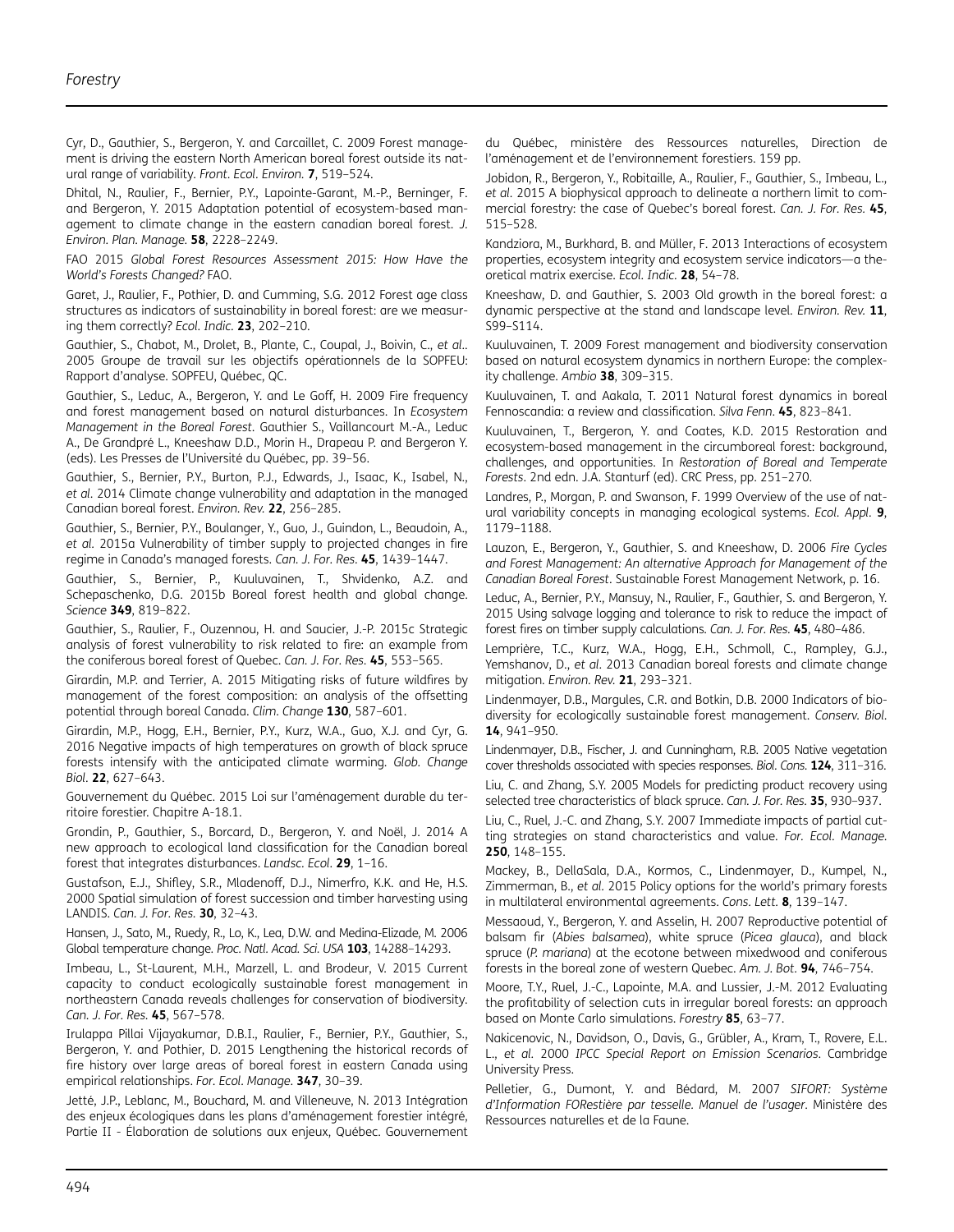<span id="page-9-0"></span>Cyr, D., Gauthier, S., Bergeron, Y. and Carcaillet, C. 2009 Forest management is driving the eastern North American boreal forest outside its natural range of variability. Front. Ecol. Environ. 7, 519–524.

Dhital, N., Raulier, F., Bernier, P.Y., Lapointe-Garant, M.-P., Berninger, F. and Bergeron, Y. 2015 Adaptation potential of ecosystem-based management to climate change in the eastern canadian boreal forest. J. Environ. Plan. Manage. 58, 2228–2249.

FAO 2015 Global Forest Resources Assessment 2015: How Have the World's Forests Changed? FAO.

Garet, J., Raulier, F., Pothier, D. and Cumming, S.G. 2012 Forest age class structures as indicators of sustainability in boreal forest: are we measuring them correctly? Ecol. Indic. 23, 202–210.

Gauthier, S., Chabot, M., Drolet, B., Plante, C., Coupal, J., Boivin, C., et al.. 2005 Groupe de travail sur les objectifs opérationnels de la SOPFEU: Rapport d'analyse. SOPFEU, Québec, QC.

Gauthier, S., Leduc, A., Bergeron, Y. and Le Goff, H. 2009 Fire frequency and forest management based on natural disturbances. In Ecosystem Management in the Boreal Forest. Gauthier S., Vaillancourt M.-A., Leduc A., De Grandpré L., Kneeshaw D.D., Morin H., Drapeau P. and Bergeron Y. (eds). Les Presses de l'Université du Québec, pp. 39–56.

Gauthier, S., Bernier, P.Y., Burton, P.J., Edwards, J., Isaac, K., Isabel, N., et al. 2014 Climate change vulnerability and adaptation in the managed Canadian boreal forest. Environ. Rev. 22, 256–285.

Gauthier, S., Bernier, P.Y., Boulanger, Y., Guo, J., Guindon, L., Beaudoin, A., et al. 2015a Vulnerability of timber supply to projected changes in fire regime in Canada's managed forests. Can. J. For. Res. 45, 1439–1447.

Gauthier, S., Bernier, P., Kuuluvainen, T., Shvidenko, A.Z. and Schepaschenko, D.G. 2015b Boreal forest health and global change. Science 349, 819–822.

Gauthier, S., Raulier, F., Ouzennou, H. and Saucier, J.-P. 2015c Strategic analysis of forest vulnerability to risk related to fire: an example from the coniferous boreal forest of Quebec. Can. J. For. Res. 45, 553–565.

Girardin, M.P. and Terrier, A. 2015 Mitigating risks of future wildfires by management of the forest composition: an analysis of the offsetting potential through boreal Canada. Clim. Change 130, 587–601.

Girardin, M.P., Hogg, E.H., Bernier, P.Y., Kurz, W.A., Guo, X.J. and Cyr, G. 2016 Negative impacts of high temperatures on growth of black spruce forests intensify with the anticipated climate warming. Glob. Change Biol. 22, 627–643.

Gouvernement du Québec. 2015 Loi sur l'aménagement durable du territoire forestier. Chapitre A-18.1.

Grondin, P., Gauthier, S., Borcard, D., Bergeron, Y. and Noël, J. 2014 A new approach to ecological land classification for the Canadian boreal forest that integrates disturbances. Landsc. Ecol. 29, 1–16.

Gustafson, E.J., Shifley, S.R., Mladenoff, D.J., Nimerfro, K.K. and He, H.S. 2000 Spatial simulation of forest succession and timber harvesting using LANDIS. Can. J. For. Res. 30, 32-43.

Hansen, J., Sato, M., Ruedy, R., Lo, K., Lea, D.W. and Medina-Elizade, M. 2006 Global temperature change. Proc. Natl. Acad. Sci. USA 103, 14288–14293.

Imbeau, L., St-Laurent, M.H., Marzell, L. and Brodeur, V. 2015 Current capacity to conduct ecologically sustainable forest management in northeastern Canada reveals challenges for conservation of biodiversity. Can. J. For. Res. 45, 567–578.

Irulappa Pillai Vijayakumar, D.B.I., Raulier, F., Bernier, P.Y., Gauthier, S., Bergeron, Y. and Pothier, D. 2015 Lengthening the historical records of fire history over large areas of boreal forest in eastern Canada using empirical relationships. For. Ecol. Manage. 347, 30–39.

Jetté, J.P., Leblanc, M., Bouchard, M. and Villeneuve, N. 2013 Intégration des enjeux écologiques dans les plans d'aménagement forestier intégré, Partie II - Élaboration de solutions aux enjeux, Québec. Gouvernement

du Québec, ministère des Ressources naturelles, Direction de l'aménagement et de l'environnement forestiers. 159 pp.

Jobidon, R., Bergeron, Y., Robitaille, A., Raulier, F., Gauthier, S., Imbeau, L., et al. 2015 A biophysical approach to delineate a northern limit to commercial forestry: the case of Quebec's boreal forest. Can. J. For. Res. 45, 515–528.

Kandziora, M., Burkhard, B. and Müller, F. 2013 Interactions of ecosystem properties, ecosystem integrity and ecosystem service indicators—a theoretical matrix exercise. Ecol. Indic. 28, 54–78.

Kneeshaw, D. and Gauthier, S. 2003 Old growth in the boreal forest: a dynamic perspective at the stand and landscape level. Environ. Rev. 11, S99–S114.

Kuuluvainen, T. 2009 Forest management and biodiversity conservation based on natural ecosystem dynamics in northern Europe: the complexity challenge. Ambio 38, 309–315.

Kuuluvainen, T. and Aakala, T. 2011 Natural forest dynamics in boreal Fennoscandia: a review and classification. Silva Fenn. 45, 823–841.

Kuuluvainen, T., Bergeron, Y. and Coates, K.D. 2015 Restoration and ecosystem-based management in the circumboreal forest: background, challenges, and opportunities. In Restoration of Boreal and Temperate Forests. 2nd edn. J.A. Stanturf (ed). CRC Press, pp. 251–270.

Landres, P., Morgan, P. and Swanson, F. 1999 Overview of the use of natural variability concepts in managing ecological systems. Ecol. Appl. 9, 1179–1188.

Lauzon, E., Bergeron, Y., Gauthier, S. and Kneeshaw, D. 2006 Fire Cycles and Forest Management: An alternative Approach for Management of the Canadian Boreal Forest. Sustainable Forest Management Network, p. 16.

Leduc, A., Bernier, P.Y., Mansuy, N., Raulier, F., Gauthier, S. and Bergeron, Y. 2015 Using salvage logging and tolerance to risk to reduce the impact of forest fires on timber supply calculations. Can. J. For. Res. 45, 480-486.

Lemprière, T.C., Kurz, W.A., Hogg, E.H., Schmoll, C., Rampley, G.J., Yemshanov, D., et al. 2013 Canadian boreal forests and climate change mitigation. Environ. Rev. 21, 293–321.

Lindenmayer, D.B., Margules, C.R. and Botkin, D.B. 2000 Indicators of biodiversity for ecologically sustainable forest management. Conserv. Biol. 14, 941–950.

Lindenmayer, D.B., Fischer, J. and Cunningham, R.B. 2005 Native vegetation cover thresholds associated with species responses. Biol. Cons. 124, 311–316. Liu, C. and Zhang, S.Y. 2005 Models for predicting product recovery using selected tree characteristics of black spruce. Can. J. For. Res. 35, 930-937.

Liu, C., Ruel, J.-C. and Zhang, S.Y. 2007 Immediate impacts of partial cutting strategies on stand characteristics and value. For. Ecol. Manage. 250, 148–155.

Mackey, B., DellaSala, D.A., Kormos, C., Lindenmayer, D., Kumpel, N., Zimmerman, B., et al. 2015 Policy options for the world's primary forests in multilateral environmental agreements. Cons. Lett. 8, 139–147.

Messaoud, Y., Bergeron, Y. and Asselin, H. 2007 Reproductive potential of balsam fir (Abies balsamea), white spruce (Picea glauca), and black spruce (P. mariana) at the ecotone between mixedwood and coniferous forests in the boreal zone of western Quebec. Am. J. Bot. 94, 746-754.

Moore, T.Y., Ruel, J.-C., Lapointe, M.A. and Lussier, J.-M. 2012 Evaluating the profitability of selection cuts in irregular boreal forests: an approach based on Monte Carlo simulations. Forestry 85, 63–77.

Nakicenovic, N., Davidson, O., Davis, G., Grübler, A., Kram, T., Rovere, E.L. L., et al. 2000 IPCC Special Report on Emission Scenarios. Cambridge University Press.

Pelletier, G., Dumont, Y. and Bédard, M. 2007 SIFORT: Système d'Information FORestière par tesselle. Manuel de l'usager. Ministère des Ressources naturelles et de la Faune.